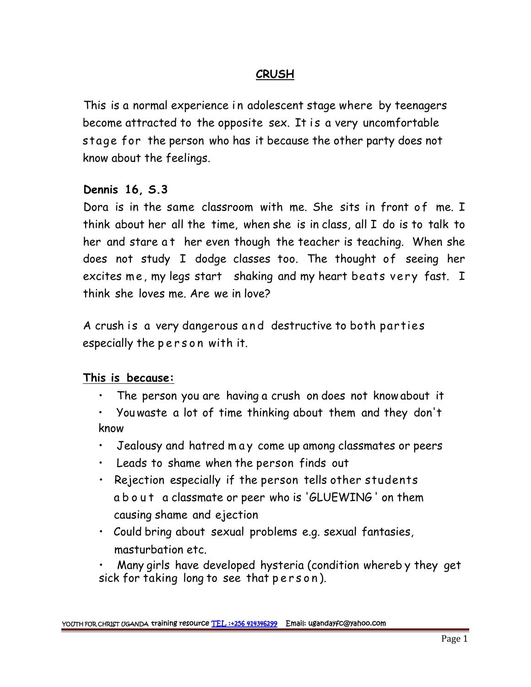## **CRUSH**

<u>CRUSH</u><br>This is a normal experience in adolescent stage where by teenagers<br>become attracted to the opposite sex. It is a very uncomfortable **CRUSH**<br>This is a normal experience in adolescent stage where by teenagers<br>become attracted to the opposite sex. It is a very uncomfortable<br>stage for the person who has it because the other party does not stage for the person who has it because the other party does not know about the feelings.

## **Dennis 16, S.3**

Dora is in the same classroom with me. She sits in front of me. I think about her all the time, when she is in class, all I do is to talk to Dennis 16, S.3<br>Dora is in the same classroom with me. She sits in front of me. I<br>think about her all the time, when she is in class, all I do is to talk to<br>her and stare at her even though the teacher is teaching. When she does not study I dodge classes too. The thought of seeing her bord is in the same classroom with me. She sits in front of me. I<br>think about her all the time, when she is in class, all I do is to talk to<br>her and stare at her even though the teacher is teaching. When she<br>does not study think she loves me. Are we in love? excites me, my legs start shaking and my heart beats very fast. I<br>think she loves me. Are we in love?<br>A crush is a very dangerous and destructive to both parties<br>especially the person with it.

A crush is a very dangerous and destructive to both parties

## **This is because:**

- The person you are having a crush on does not know about it
- Youwaste a lot of time thinking about them and they don't know is is because:<br>• The person you are having a crush on does not know about it<br>• You waste a lot of time thinking about them and they don't<br>know<br>• Jealousy and hatred m ay come up among classmates or peers<br>• Leads to shame w
- 
- Leads to shame when the person finds out
- Rejection especially if the person tells other students Jealousy and hatred may come up among classmates or peers<br>Leads to shame when the person finds out<br>Rejection especially if the person tells other students<br>a b o u t a classmate or peer who is 'GLUEWING' on them<br>causing sha causing shame and ejection
- Could bring about sexual problems e.g. sexual fantasies, masturbation etc. causing shame and ejection<br>• Could bring about sexual problems e.g. sexual fantasie<br>masturbation etc.<br>• Many girls have developed hysteria (condition whereb<br>sick for taking long to see that person).
- Many girls have developed hysteria (condition whereb y they get